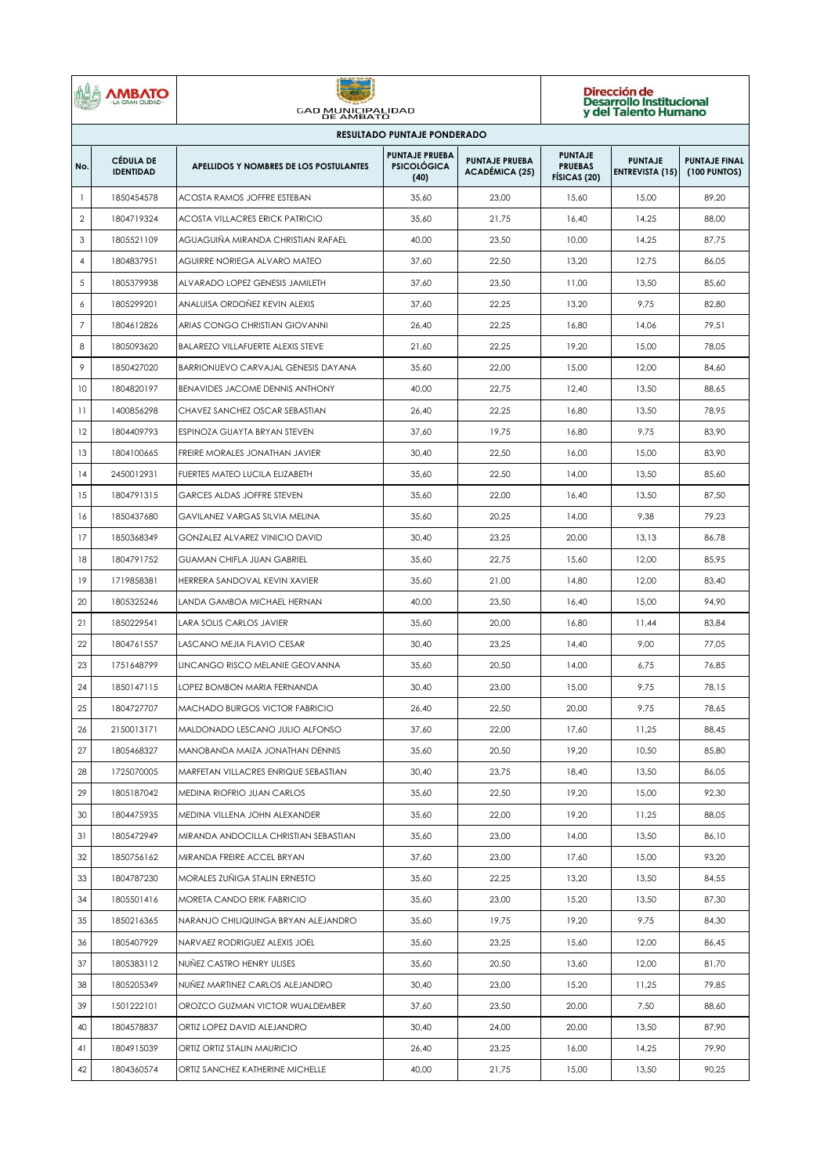|                                    | <b>MBATO</b><br><b>GRAN CIUDAD</b>   | <b>GAD MUNICIPALIDAD</b><br>DE AMBATO    |                                                     |                                                | Dirección de<br>Desarrollo Institucional<br>y del Talento Humano |                                          |                                      |  |  |  |  |  |
|------------------------------------|--------------------------------------|------------------------------------------|-----------------------------------------------------|------------------------------------------------|------------------------------------------------------------------|------------------------------------------|--------------------------------------|--|--|--|--|--|
| <b>RESULTADO PUNTAJE PONDERADO</b> |                                      |                                          |                                                     |                                                |                                                                  |                                          |                                      |  |  |  |  |  |
| No.                                | <b>CÉDULA DE</b><br><b>IDENTIDAD</b> | APELLIDOS Y NOMBRES DE LOS POSTULANTES   | <b>PUNTAJE PRUEBA</b><br><b>PSICOLÓGICA</b><br>(40) | <b>PUNTAJE PRUEBA</b><br><b>ACADÉMICA (25)</b> | <b>PUNTAJE</b><br><b>PRUEBAS</b><br>FÍSICAS (20)                 | <b>PUNTAJE</b><br><b>ENTREVISTA (15)</b> | <b>PUNTAJE FINAL</b><br>(100 PUNTOS) |  |  |  |  |  |
| $\mathbf{1}$                       | 1850454578                           | <b>ACOSTA RAMOS JOFFRE ESTEBAN</b>       | 35,60                                               | 23,00                                          | 15,60                                                            | 15,00                                    | 89,20                                |  |  |  |  |  |
| $\sqrt{2}$                         | 1804719324                           | ACOSTA VILLACRES ERICK PATRICIO          | 35,60                                               | 21,75                                          | 16,40                                                            | 14,25                                    | 88,00                                |  |  |  |  |  |
| 3                                  | 1805521109                           | AGUAGUIÑA MIRANDA CHRISTIAN RAFAEL       | 40,00                                               | 23,50                                          | 10,00                                                            | 14,25                                    | 87,75                                |  |  |  |  |  |
| $\overline{4}$                     | 1804837951                           | AGUIRRE NORIEGA ALVARO MATEO             | 37,60                                               | 22,50                                          | 13,20                                                            | 12,75                                    | 86,05                                |  |  |  |  |  |
| 5                                  | 1805379938                           | ALVARADO LOPEZ GENESIS JAMILETH          | 37,60                                               | 23,50                                          | 11,00                                                            | 13,50                                    | 85,60                                |  |  |  |  |  |
| 6                                  | 1805299201                           | ANALUISA ORDONEZ KEVIN ALEXIS            | 37,60                                               | 22,25                                          | 13,20                                                            | 9,75                                     | 82,80                                |  |  |  |  |  |
| $\overline{7}$                     | 1804612826                           | ARIAS CONGO CHRISTIAN GIOVANNI           | 26,40                                               | 22,25                                          | 16,80                                                            | 14,06                                    | 79,51                                |  |  |  |  |  |
| 8                                  | 1805093620                           | <b>BALAREZO VILLAFUERTE ALEXIS STEVE</b> | 21,60                                               | 22,25                                          | 19,20                                                            | 15,00                                    | 78,05                                |  |  |  |  |  |
| 9                                  | 1850427020                           | BARRIONUEVO CARVAJAL GENESIS DAYANA      | 35,60                                               | 22,00                                          | 15,00                                                            | 12,00                                    | 84,60                                |  |  |  |  |  |
| 10                                 | 1804820197                           | <b>BENAVIDES JACOME DENNIS ANTHONY</b>   | 40,00                                               | 22,75                                          | 12,40                                                            | 13,50                                    | 88,65                                |  |  |  |  |  |
| 11                                 | 1400856298                           | CHAVEZ SANCHEZ OSCAR SEBASTIAN           | 26,40                                               | 22,25                                          | 16,80                                                            | 13,50                                    | 78,95                                |  |  |  |  |  |
| 12                                 | 1804409793                           | ESPINOZA GUAYTA BRYAN STEVEN             | 37,60                                               | 19,75                                          | 16.80                                                            | 9,75                                     | 83.90                                |  |  |  |  |  |
| 13                                 | 1804100665                           | FREIRE MORALES JONATHAN JAVIER           | 30,40                                               | 22,50                                          | 16,00                                                            | 15,00                                    | 83,90                                |  |  |  |  |  |
| 14                                 | 2450012931                           | FUERTES MATEO LUCILA ELIZABETH           | 35,60                                               | 22,50                                          | 14,00                                                            | 13,50                                    | 85,60                                |  |  |  |  |  |
| 15                                 | 1804791315                           | <b>GARCES ALDAS JOFFRE STEVEN</b>        | 35,60                                               | 22,00                                          | 16,40                                                            | 13,50                                    | 87,50                                |  |  |  |  |  |
| 16                                 | 1850437680                           | GAVILANEZ VARGAS SILVIA MELINA           | 35,60                                               | 20,25                                          | 14,00                                                            | 9,38                                     | 79,23                                |  |  |  |  |  |
| 17                                 | 1850368349                           | GONZALEZ ALVAREZ VINICIO DAVID           | 30,40                                               | 23,25                                          | 20,00                                                            | 13,13                                    | 86,78                                |  |  |  |  |  |
| 18                                 | 1804791752                           | GUAMAN CHIFLA JUAN GABRIEL               | 35,60                                               | 22,75                                          | 15,60                                                            | 12,00                                    | 85,95                                |  |  |  |  |  |
| 19                                 | 1719858381                           | HERRERA SANDOVAL KEVIN XAVIER            | 35,60                                               | 21,00                                          | 14,80                                                            | 12,00                                    | 83,40                                |  |  |  |  |  |
| 20                                 | 1805325246                           | LANDA GAMBOA MICHAEL HERNAN              | 40,00                                               | 23,50                                          | 16,40                                                            | 15,00                                    | 94,90                                |  |  |  |  |  |
| 21                                 | 1850229541                           | <b>LARA SOLIS CARLOS JAVIER</b>          | 35,60                                               | 20,00                                          | 16,80                                                            | 11,44                                    | 83,84                                |  |  |  |  |  |
| 22                                 | 1804761557                           | LASCANO MEJIA FLAVIO CESAR               | 30,40                                               | 23,25                                          | 14,40                                                            | 9,00                                     | 77,05                                |  |  |  |  |  |
| 23                                 | 1751648799                           | LINCANGO RISCO MELANIE GEOVANNA          | 35,60                                               | 20,50                                          | 14,00                                                            | 6,75                                     | 76,85                                |  |  |  |  |  |
| 24                                 | 1850147115                           | LOPEZ BOMBON MARIA FERNANDA              | 30,40                                               | 23,00                                          | 15,00                                                            | 9,75                                     | 78,15                                |  |  |  |  |  |
| 25                                 | 1804727707                           | <b>MACHADO BURGOS VICTOR FABRICIO</b>    | 26,40                                               | 22,50                                          | 20,00                                                            | 9,75                                     | 78,65                                |  |  |  |  |  |
| 26                                 | 2150013171                           | MALDONADO LESCANO JULIO ALFONSO          | 37,60                                               | 22,00                                          | 17,60                                                            | 11,25                                    | 88,45                                |  |  |  |  |  |
| 27                                 | 1805468327                           | MANOBANDA MAIZA JONATHAN DENNIS          | 35,60                                               | 20,50                                          | 19,20                                                            | 10,50                                    | 85,80                                |  |  |  |  |  |
| 28                                 | 1725070005                           | MARFETAN VILLACRES ENRIQUE SEBASTIAN     | 30,40                                               | 23,75                                          | 18,40                                                            | 13,50                                    | 86,05                                |  |  |  |  |  |
| 29                                 | 1805187042                           | MEDINA RIOFRIO JUAN CARLOS               | 35,60                                               | 22,50                                          | 19,20                                                            | 15,00                                    | 92,30                                |  |  |  |  |  |
| 30                                 | 1804475935                           | MEDINA VILLENA JOHN ALEXANDER            | 35,60                                               | 22,00                                          | 19,20                                                            | 11,25                                    | 88,05                                |  |  |  |  |  |
| 31                                 | 1805472949                           | MIRANDA ANDOCILLA CHRISTIAN SEBASTIAN    | 35,60                                               | 23,00                                          | 14,00                                                            | 13,50                                    | 86,10                                |  |  |  |  |  |
| 32                                 | 1850756162                           | MIRANDA FREIRE ACCEL BRYAN               | 37,60                                               | 23,00                                          | 17,60                                                            | 15,00                                    | 93,20                                |  |  |  |  |  |
| 33                                 | 1804787230                           | MORALES ZUÑIGA STALIN ERNESTO            | 35,60                                               | 22,25                                          | 13,20                                                            | 13,50                                    | 84,55                                |  |  |  |  |  |
| 34                                 | 1805501416                           | MORETA CANDO ERIK FABRICIO               | 35,60                                               | 23,00                                          | 15,20                                                            | 13,50                                    | 87,30                                |  |  |  |  |  |
| 35                                 | 1850216365                           | NARANJO CHILIQUINGA BRYAN ALEJANDRO      | 35,60                                               | 19,75                                          | 19,20                                                            | 9,75                                     | 84,30                                |  |  |  |  |  |
| 36                                 | 1805407929                           | NARVAEZ RODRIGUEZ ALEXIS JOEL            | 35,60                                               | 23,25                                          | 15,60                                                            | 12,00                                    | 86,45                                |  |  |  |  |  |
| 37                                 | 1805383112                           | NUNEZ CASTRO HENRY ULISES                | 35,60                                               | 20,50                                          | 13,60                                                            | 12,00                                    | 81,70                                |  |  |  |  |  |
| 38                                 | 1805205349                           | NUÑEZ MARTINEZ CARLOS ALEJANDRO          | 30,40                                               | 23,00                                          | 15,20                                                            | 11,25                                    | 79,85                                |  |  |  |  |  |
| 39                                 | 1501222101                           | OROZCO GUZMAN VICTOR WUALDEMBER          | 37,60                                               | 23,50                                          | 20,00                                                            | 7,50                                     | 88,60                                |  |  |  |  |  |
| 40                                 | 1804578837                           | ORTIZ LOPEZ DAVID ALEJANDRO              | 30,40                                               | 24,00                                          | 20,00                                                            | 13,50                                    | 87,90                                |  |  |  |  |  |
| 41                                 | 1804915039                           | ORTIZ ORTIZ STALIN MAURICIO              | 26,40                                               | 23,25                                          | 16,00                                                            | 14,25                                    | 79,90                                |  |  |  |  |  |
| 42                                 | 1804360574                           | ORTIZ SANCHEZ KATHERINE MICHELLE         | 40,00                                               | 21,75                                          | 15,00                                                            | 13,50                                    | 90,25                                |  |  |  |  |  |